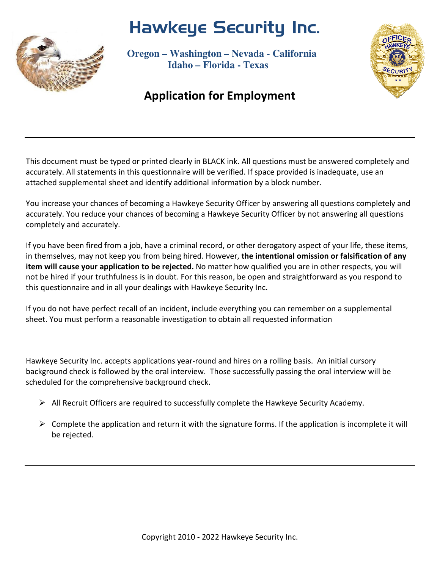# Hawkeye Security Inc.



 **Oregon – Washington – Nevada - California Idaho – Florida - Texas**

### Application for Employment

This document must be typed or printed clearly in BLACK ink. All questions must be answered completely and accurately. All statements in this questionnaire will be verified. If space provided is inadequate, use an attached supplemental sheet and identify additional information by a block number.

You increase your chances of becoming a Hawkeye Security Officer by answering all questions completely and accurately. You reduce your chances of becoming a Hawkeye Security Officer by not answering all questions completely and accurately.

If you have been fired from a job, have a criminal record, or other derogatory aspect of your life, these items, in themselves, may not keep you from being hired. However, the intentional omission or falsification of any item will cause your application to be rejected. No matter how qualified you are in other respects, you will not be hired if your truthfulness is in doubt. For this reason, be open and straightforward as you respond to this questionnaire and in all your dealings with Hawkeye Security Inc.

If you do not have perfect recall of an incident, include everything you can remember on a supplemental sheet. You must perform a reasonable investigation to obtain all requested information

Hawkeye Security Inc. accepts applications year-round and hires on a rolling basis. An initial cursory background check is followed by the oral interview. Those successfully passing the oral interview will be scheduled for the comprehensive background check.

- $\triangleright$  All Recruit Officers are required to successfully complete the Hawkeye Security Academy.
- $\triangleright$  Complete the application and return it with the signature forms. If the application is incomplete it will be rejected.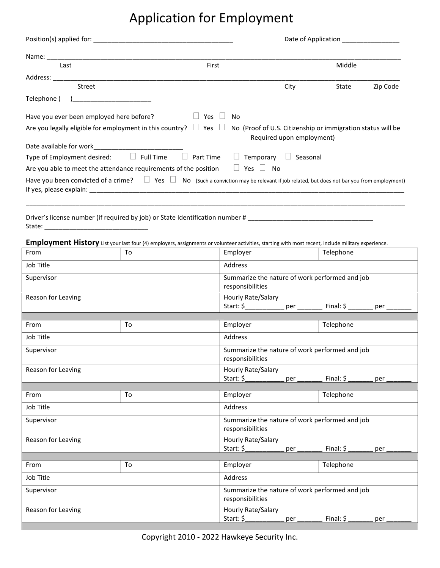## Application for Employment

| First<br>Last                                                                                                                                     |                                                                                          | Middle |          |
|---------------------------------------------------------------------------------------------------------------------------------------------------|------------------------------------------------------------------------------------------|--------|----------|
|                                                                                                                                                   |                                                                                          |        |          |
| <b>Street</b>                                                                                                                                     | City                                                                                     | State  | Zip Code |
| Telephone (                                                                                                                                       |                                                                                          |        |          |
| Have you ever been employed here before?<br>Yes<br>No.                                                                                            |                                                                                          |        |          |
| Are you legally eligible for employment in this country? $\Box$ Yes $\Box$                                                                        | No (Proof of U.S. Citizenship or immigration status will be<br>Required upon employment) |        |          |
|                                                                                                                                                   |                                                                                          |        |          |
| Type of Employment desired: $\Box$ Full Time<br>Part Time<br>$\perp$                                                                              | Temporary<br>Seasonal                                                                    |        |          |
| Are you able to meet the attendance requirements of the position<br>$\Box$ Yes $\Box$                                                             | No.                                                                                      |        |          |
| Have you been convicted of a crime? $\Box$ Yes $\Box$ No (Such a conviction may be relevant if job related, but does not bar you from employment) |                                                                                          |        |          |
|                                                                                                                                                   |                                                                                          |        |          |

Driver's license number (if required by job) or State Identification number # \_\_\_\_\_\_\_\_\_\_\_\_\_\_\_\_\_\_\_\_\_\_\_\_\_\_\_\_\_\_\_\_ State: \_\_\_\_\_\_\_\_\_\_\_\_\_\_\_\_\_\_\_\_\_\_\_\_\_\_\_\_\_

Employment History List your last four (4) employers, assignments or volunteer activities, starting with most recent, include military experience.

| From               | To | Employer                                                                                         | Telephone |  |
|--------------------|----|--------------------------------------------------------------------------------------------------|-----------|--|
| Job Title          |    | Address                                                                                          |           |  |
| Supervisor         |    | Summarize the nature of work performed and job<br>responsibilities                               |           |  |
| Reason for Leaving |    | Hourly Rate/Salary<br>Start: \$_______________ per __________ Final: \$ ________ per _________   |           |  |
|                    |    |                                                                                                  |           |  |
| From               | To | Employer                                                                                         | Telephone |  |
| Job Title          |    | Address                                                                                          |           |  |
| Supervisor         |    | Summarize the nature of work performed and job<br>responsibilities                               |           |  |
| Reason for Leaving |    | Hourly Rate/Salary<br>Start: \$________________ per ____________ Final: \$ _________ per _______ |           |  |
|                    |    |                                                                                                  |           |  |
| From               | To | Employer                                                                                         | Telephone |  |
| Job Title          |    | Address                                                                                          |           |  |
| Supervisor         |    | Summarize the nature of work performed and job<br>responsibilities                               |           |  |
| Reason for Leaving |    | Hourly Rate/Salary                                                                               |           |  |
|                    |    | Start: \$_______________ per __________ Final: \$ ________ per _______                           |           |  |
|                    |    |                                                                                                  |           |  |
| From               | To | Employer                                                                                         | Telephone |  |
| Job Title          |    | Address                                                                                          |           |  |
| Supervisor         |    | Summarize the nature of work performed and job<br>responsibilities                               |           |  |
| Reason for Leaving |    | Hourly Rate/Salary<br>Start: \$ _______________ per _____________ Final: \$ _________            | $pc-$     |  |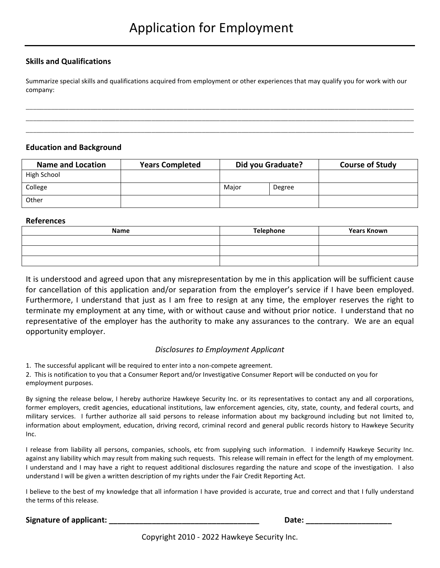#### Skills and Qualifications

Summarize special skills and qualifications acquired from employment or other experiences that may qualify you for work with our company:

\_\_\_\_\_\_\_\_\_\_\_\_\_\_\_\_\_\_\_\_\_\_\_\_\_\_\_\_\_\_\_\_\_\_\_\_\_\_\_\_\_\_\_\_\_\_\_\_\_\_\_\_\_\_\_\_\_\_\_\_\_\_\_\_\_\_\_\_\_\_\_\_\_\_\_\_\_\_\_\_\_\_\_\_\_\_\_\_\_\_\_\_\_\_\_\_\_\_\_\_\_\_\_\_\_\_\_\_ \_\_\_\_\_\_\_\_\_\_\_\_\_\_\_\_\_\_\_\_\_\_\_\_\_\_\_\_\_\_\_\_\_\_\_\_\_\_\_\_\_\_\_\_\_\_\_\_\_\_\_\_\_\_\_\_\_\_\_\_\_\_\_\_\_\_\_\_\_\_\_\_\_\_\_\_\_\_\_\_\_\_\_\_\_\_\_\_\_\_\_\_\_\_\_\_\_\_\_\_\_\_\_\_\_\_\_\_ \_\_\_\_\_\_\_\_\_\_\_\_\_\_\_\_\_\_\_\_\_\_\_\_\_\_\_\_\_\_\_\_\_\_\_\_\_\_\_\_\_\_\_\_\_\_\_\_\_\_\_\_\_\_\_\_\_\_\_\_\_\_\_\_\_\_\_\_\_\_\_\_\_\_\_\_\_\_\_\_\_\_\_\_\_\_\_\_\_\_\_\_\_\_\_\_\_\_\_\_\_\_\_\_\_\_\_\_

#### Education and Background

| <b>Name and Location</b> | <b>Years Completed</b> | Did you Graduate? |        | <b>Course of Study</b> |
|--------------------------|------------------------|-------------------|--------|------------------------|
| High School              |                        |                   |        |                        |
| College                  |                        | Major             | Degree |                        |
| Other                    |                        |                   |        |                        |

#### References

| Name | Telephone | <b>Years Known</b> |
|------|-----------|--------------------|
|      |           |                    |
|      |           |                    |
|      |           |                    |

It is understood and agreed upon that any misrepresentation by me in this application will be sufficient cause for cancellation of this application and/or separation from the employer's service if I have been employed. Furthermore, I understand that just as I am free to resign at any time, the employer reserves the right to terminate my employment at any time, with or without cause and without prior notice. I understand that no representative of the employer has the authority to make any assurances to the contrary. We are an equal opportunity employer.

#### Disclosures to Employment Applicant

1. The successful applicant will be required to enter into a non-compete agreement.

2. This is notification to you that a Consumer Report and/or Investigative Consumer Report will be conducted on you for employment purposes.

By signing the release below, I hereby authorize Hawkeye Security Inc. or its representatives to contact any and all corporations, former employers, credit agencies, educational institutions, law enforcement agencies, city, state, county, and federal courts, and military services. I further authorize all said persons to release information about my background including but not limited to, information about employment, education, driving record, criminal record and general public records history to Hawkeye Security Inc.

I release from liability all persons, companies, schools, etc from supplying such information. I indemnify Hawkeye Security Inc. against any liability which may result from making such requests. This release will remain in effect for the length of my employment. I understand and I may have a right to request additional disclosures regarding the nature and scope of the investigation. I also understand I will be given a written description of my rights under the Fair Credit Reporting Act.

I believe to the best of my knowledge that all information I have provided is accurate, true and correct and that I fully understand the terms of this release.

#### Signature of applicant: \_\_\_\_\_\_\_\_\_\_\_\_\_\_\_\_\_\_\_\_\_\_\_\_\_\_\_\_\_\_\_\_\_\_\_ Date: \_\_\_\_\_\_\_\_\_\_\_\_\_\_\_\_\_\_\_\_

Copyright 2010 - 2022 Hawkeye Security Inc.